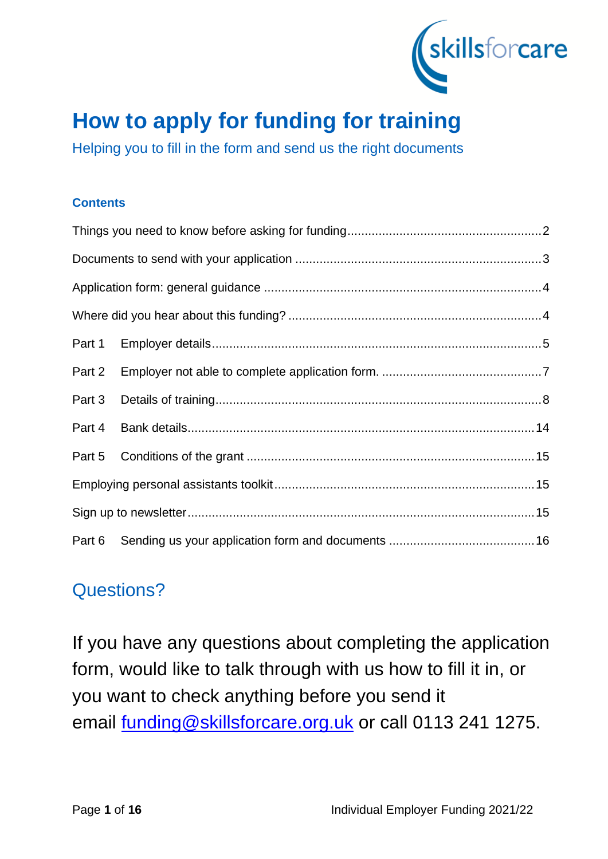

# **How to apply for funding for training**

Helping you to fill in the form and send us the right documents

# **Contents**

| Part 2 |  |  |
|--------|--|--|
| Part 3 |  |  |
| Part 4 |  |  |
|        |  |  |
|        |  |  |
|        |  |  |
|        |  |  |

# Questions?

If you have any questions about completing the application form, would like to talk through with us how to fill it in, or you want to check anything before you send it email [funding@skillsforcare.org.uk](mailto:funding@skillsforcare.org.uk) or call 0113 241 1275.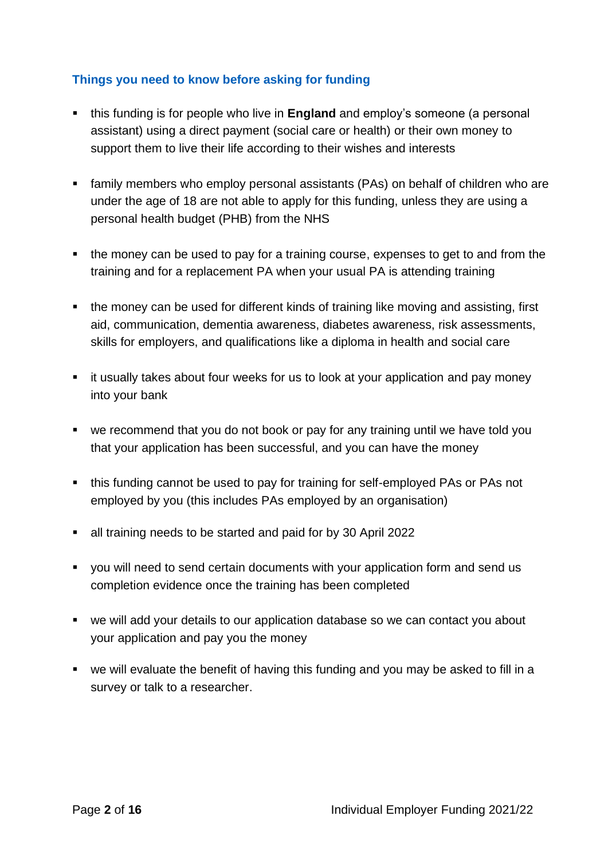# **Things you need to know before asking for funding**

- this funding is for people who live in **England** and employ's someone (a personal assistant) using a direct payment (social care or health) or their own money to support them to live their life according to their wishes and interests
- family members who employ personal assistants (PAs) on behalf of children who are under the age of 18 are not able to apply for this funding, unless they are using a personal health budget (PHB) from the NHS
- the money can be used to pay for a training course, expenses to get to and from the training and for a replacement PA when your usual PA is attending training
- the money can be used for different kinds of training like moving and assisting, first aid, communication, dementia awareness, diabetes awareness, risk assessments, skills for employers, and qualifications like a diploma in health and social care
- it usually takes about four weeks for us to look at your application and pay money into your bank
- we recommend that you do not book or pay for any training until we have told you that your application has been successful, and you can have the money
- this funding cannot be used to pay for training for self-employed PAs or PAs not employed by you (this includes PAs employed by an organisation)
- all training needs to be started and paid for by 30 April 2022
- you will need to send certain documents with your application form and send us completion evidence once the training has been completed
- we will add your details to our application database so we can contact you about your application and pay you the money
- we will evaluate the benefit of having this funding and you may be asked to fill in a survey or talk to a researcher.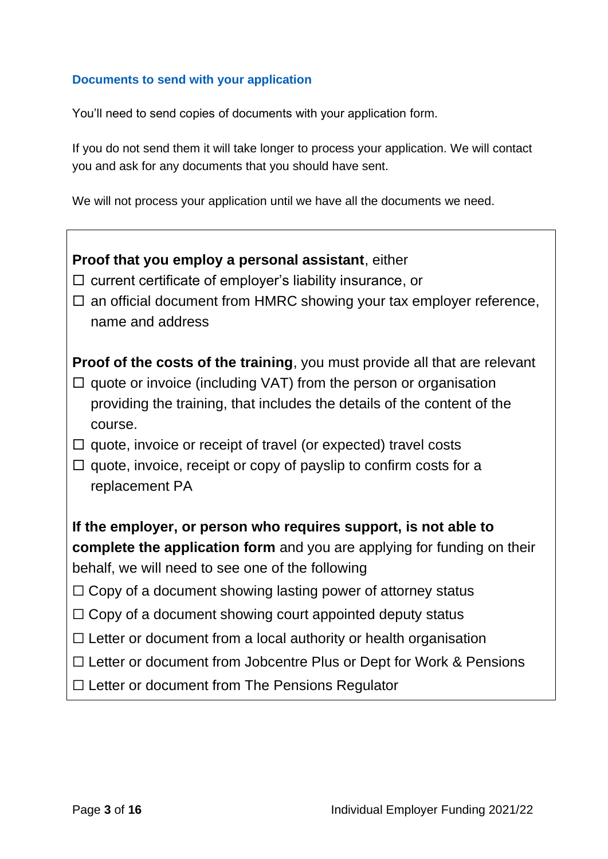# **Documents to send with your application**

You'll need to send copies of documents with your application form.

If you do not send them it will take longer to process your application. We will contact you and ask for any documents that you should have sent.

We will not process your application until we have all the documents we need.

| Proof that you employ a personal assistant, either<br>$\Box$ current certificate of employer's liability insurance, or<br>$\Box$ an official document from HMRC showing your tax employer reference,<br>name and address                           |  |
|----------------------------------------------------------------------------------------------------------------------------------------------------------------------------------------------------------------------------------------------------|--|
| <b>Proof of the costs of the training, you must provide all that are relevant</b><br>$\Box$ quote or invoice (including VAT) from the person or organisation<br>providing the training, that includes the details of the content of the<br>course. |  |
| $\Box$ quote, invoice or receipt of travel (or expected) travel costs<br>$\Box$ quote, invoice, receipt or copy of payslip to confirm costs for a<br>replacement PA                                                                                |  |
| If the employer, or person who requires support, is not able to<br>complete the application form and you are applying for funding on their<br>behalf, we will need to see one of the following                                                     |  |
| $\Box$ Copy of a document showing lasting power of attorney status<br>$\Box$ Copy of a document showing court appointed deputy status                                                                                                              |  |
| $\Box$ Letter or document from a local authority or health organisation<br>$\Box$ Letter or document from Jobcentre Plus or Dept for Work & Pensions<br>$\Box$ Letter or document from The Pensions Regulator                                      |  |
|                                                                                                                                                                                                                                                    |  |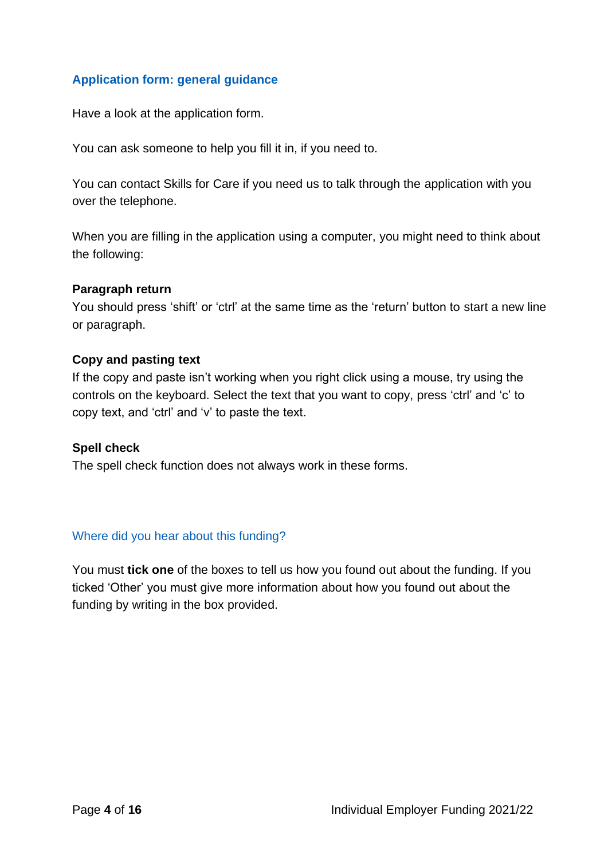# **Application form: general guidance**

Have a look at the application form.

You can ask someone to help you fill it in, if you need to.

You can contact Skills for Care if you need us to talk through the application with you over the telephone.

When you are filling in the application using a computer, you might need to think about the following:

#### **Paragraph return**

You should press 'shift' or 'ctrl' at the same time as the 'return' button to start a new line or paragraph.

#### **Copy and pasting text**

If the copy and paste isn't working when you right click using a mouse, try using the controls on the keyboard. Select the text that you want to copy, press 'ctrl' and 'c' to copy text, and 'ctrl' and 'v' to paste the text.

#### **Spell check**

The spell check function does not always work in these forms.

#### Where did you hear about this funding?

You must **tick one** of the boxes to tell us how you found out about the funding. If you ticked 'Other' you must give more information about how you found out about the funding by writing in the box provided.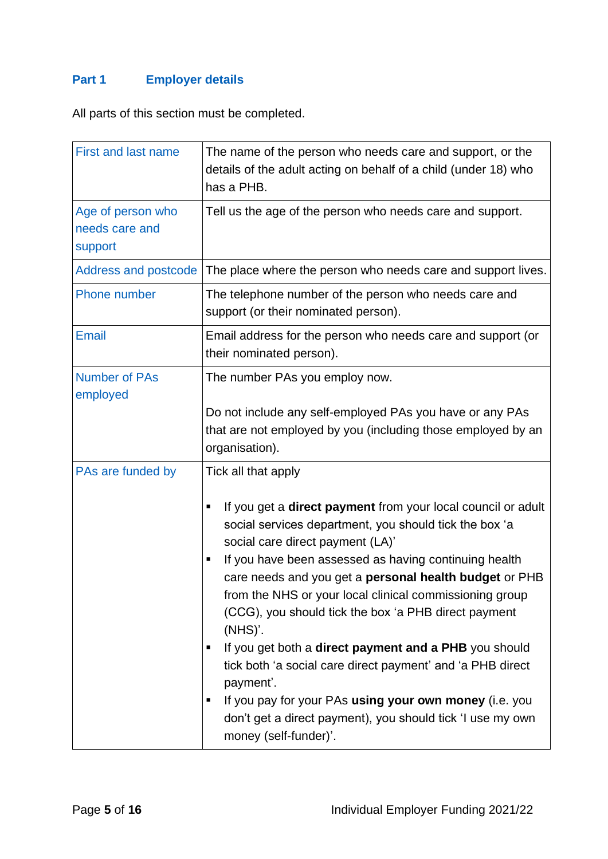# **Part 1 Employer details**

All parts of this section must be completed.

| <b>First and last name</b>                     | The name of the person who needs care and support, or the<br>details of the adult acting on behalf of a child (under 18) who<br>has a PHB.                                                                                                                                                                                                                                                                                                                                                                                                                                                                                                                                                                                            |
|------------------------------------------------|---------------------------------------------------------------------------------------------------------------------------------------------------------------------------------------------------------------------------------------------------------------------------------------------------------------------------------------------------------------------------------------------------------------------------------------------------------------------------------------------------------------------------------------------------------------------------------------------------------------------------------------------------------------------------------------------------------------------------------------|
| Age of person who<br>needs care and<br>support | Tell us the age of the person who needs care and support.                                                                                                                                                                                                                                                                                                                                                                                                                                                                                                                                                                                                                                                                             |
| Address and postcode                           | The place where the person who needs care and support lives.                                                                                                                                                                                                                                                                                                                                                                                                                                                                                                                                                                                                                                                                          |
| Phone number                                   | The telephone number of the person who needs care and<br>support (or their nominated person).                                                                                                                                                                                                                                                                                                                                                                                                                                                                                                                                                                                                                                         |
| <b>Email</b>                                   | Email address for the person who needs care and support (or<br>their nominated person).                                                                                                                                                                                                                                                                                                                                                                                                                                                                                                                                                                                                                                               |
| <b>Number of PAs</b><br>employed               | The number PAs you employ now.<br>Do not include any self-employed PAs you have or any PAs<br>that are not employed by you (including those employed by an<br>organisation).                                                                                                                                                                                                                                                                                                                                                                                                                                                                                                                                                          |
| PAs are funded by                              | Tick all that apply<br>If you get a direct payment from your local council or adult<br>social services department, you should tick the box 'a<br>social care direct payment (LA)'<br>If you have been assessed as having continuing health<br>care needs and you get a personal health budget or PHB<br>from the NHS or your local clinical commissioning group<br>(CCG), you should tick the box 'a PHB direct payment<br>$(NHS)$ .<br>If you get both a <b>direct payment and a PHB</b> you should<br>п<br>tick both 'a social care direct payment' and 'a PHB direct<br>payment'.<br>If you pay for your PAs using your own money (i.e. you<br>don't get a direct payment), you should tick 'I use my own<br>money (self-funder)'. |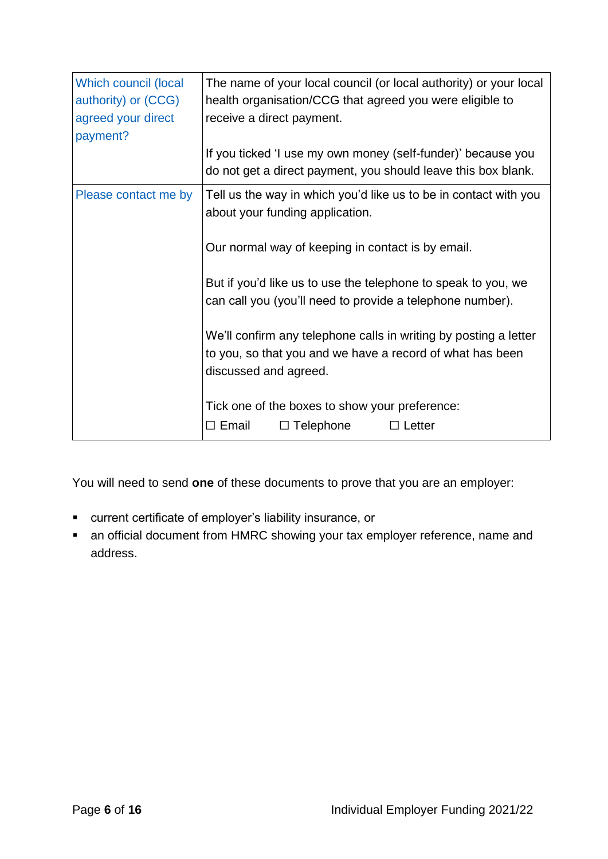| Which council (local<br>authority) or (CCG)<br>agreed your direct<br>payment? | The name of your local council (or local authority) or your local<br>health organisation/CCG that agreed you were eligible to<br>receive a direct payment.<br>If you ticked 'I use my own money (self-funder)' because you<br>do not get a direct payment, you should leave this box blank. |
|-------------------------------------------------------------------------------|---------------------------------------------------------------------------------------------------------------------------------------------------------------------------------------------------------------------------------------------------------------------------------------------|
| Please contact me by                                                          | Tell us the way in which you'd like us to be in contact with you<br>about your funding application.<br>Our normal way of keeping in contact is by email.                                                                                                                                    |
|                                                                               | But if you'd like us to use the telephone to speak to you, we<br>can call you (you'll need to provide a telephone number).<br>We'll confirm any telephone calls in writing by posting a letter<br>to you, so that you and we have a record of what has been                                 |
|                                                                               | discussed and agreed.<br>Tick one of the boxes to show your preference:<br>$\Box$ Telephone<br>$\Box$ Email<br>$\Box$ Letter                                                                                                                                                                |

You will need to send **one** of these documents to prove that you are an employer:

- current certificate of employer's liability insurance, or
- an official document from HMRC showing your tax employer reference, name and address.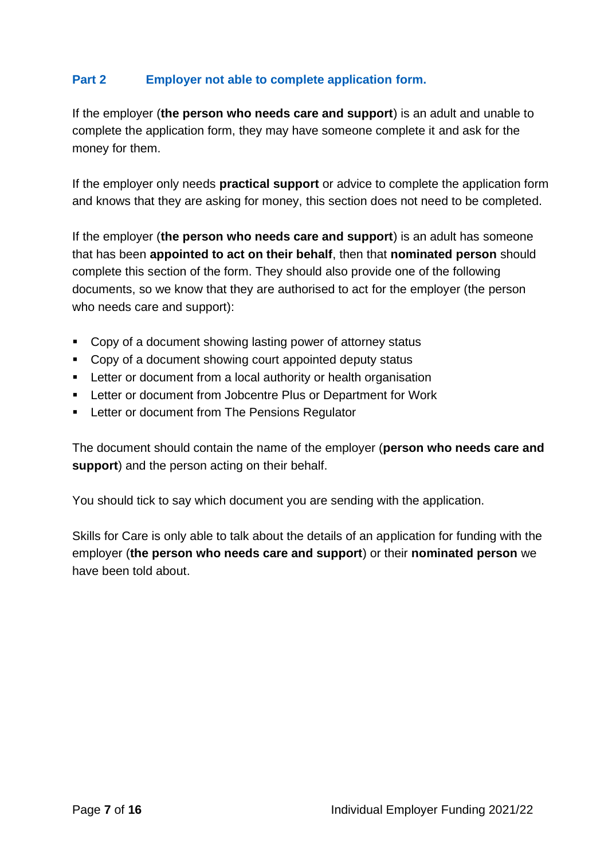# **Part 2 Employer not able to complete application form.**

If the employer (**the person who needs care and support**) is an adult and unable to complete the application form, they may have someone complete it and ask for the money for them.

If the employer only needs **practical support** or advice to complete the application form and knows that they are asking for money, this section does not need to be completed.

If the employer (**the person who needs care and support**) is an adult has someone that has been **appointed to act on their behalf**, then that **nominated person** should complete this section of the form. They should also provide one of the following documents, so we know that they are authorised to act for the employer (the person who needs care and support):

- Copy of a document showing lasting power of attorney status
- Copy of a document showing court appointed deputy status
- Letter or document from a local authority or health organisation
- Letter or document from Jobcentre Plus or Department for Work
- Letter or document from The Pensions Regulator

The document should contain the name of the employer (**person who needs care and support**) and the person acting on their behalf.

You should tick to say which document you are sending with the application.

Skills for Care is only able to talk about the details of an application for funding with the employer (**the person who needs care and support**) or their **nominated person** we have been told about.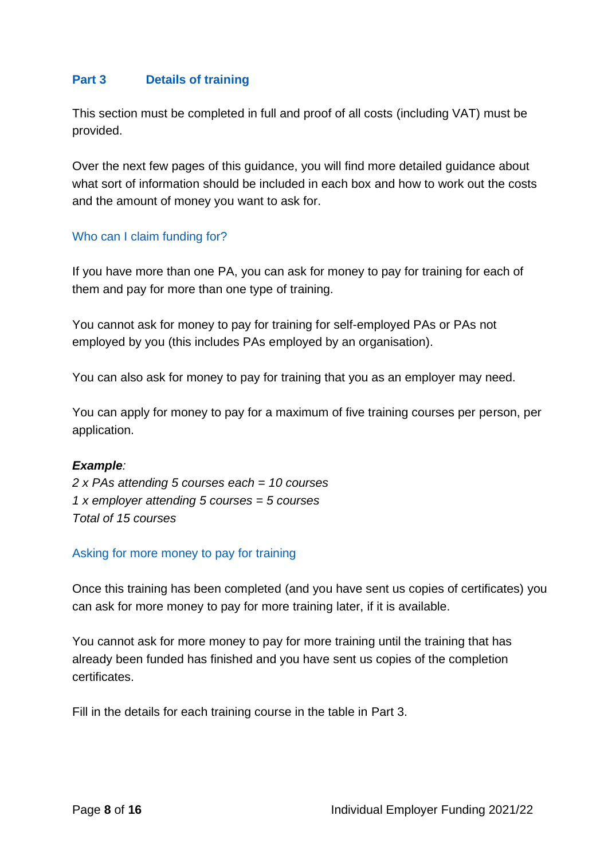# **Part 3 Details of training**

This section must be completed in full and proof of all costs (including VAT) must be provided.

Over the next few pages of this guidance, you will find more detailed guidance about what sort of information should be included in each box and how to work out the costs and the amount of money you want to ask for.

#### Who can I claim funding for?

If you have more than one PA, you can ask for money to pay for training for each of them and pay for more than one type of training.

You cannot ask for money to pay for training for self-employed PAs or PAs not employed by you (this includes PAs employed by an organisation).

You can also ask for money to pay for training that you as an employer may need.

You can apply for money to pay for a maximum of five training courses per person, per application.

#### *Example:*

*2 x PAs attending 5 courses each = 10 courses 1 x employer attending 5 courses = 5 courses Total of 15 courses*

#### Asking for more money to pay for training

Once this training has been completed (and you have sent us copies of certificates) you can ask for more money to pay for more training later, if it is available.

You cannot ask for more money to pay for more training until the training that has already been funded has finished and you have sent us copies of the completion certificates.

Fill in the details for each training course in the table in Part 3.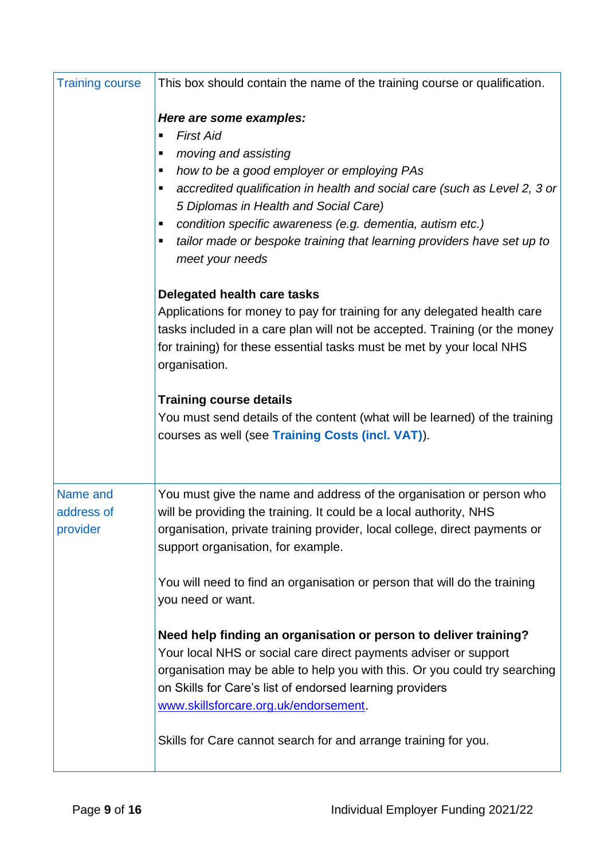| <b>Training course</b>             | This box should contain the name of the training course or qualification.                                                                                                                                                                                                                                                                                                                                             |
|------------------------------------|-----------------------------------------------------------------------------------------------------------------------------------------------------------------------------------------------------------------------------------------------------------------------------------------------------------------------------------------------------------------------------------------------------------------------|
|                                    | Here are some examples:<br><b>First Aid</b><br>п<br>moving and assisting<br>п<br>how to be a good employer or employing PAs<br>ш<br>accredited qualification in health and social care (such as Level 2, 3 or<br>5 Diplomas in Health and Social Care)<br>condition specific awareness (e.g. dementia, autism etc.)<br>tailor made or bespoke training that learning providers have set up to<br>ш<br>meet your needs |
|                                    | Delegated health care tasks<br>Applications for money to pay for training for any delegated health care<br>tasks included in a care plan will not be accepted. Training (or the money<br>for training) for these essential tasks must be met by your local NHS<br>organisation.                                                                                                                                       |
|                                    | <b>Training course details</b><br>You must send details of the content (what will be learned) of the training<br>courses as well (see Training Costs (incl. VAT)).                                                                                                                                                                                                                                                    |
| Name and<br>address of<br>provider | You must give the name and address of the organisation or person who<br>will be providing the training. It could be a local authority, NHS<br>organisation, private training provider, local college, direct payments or<br>support organisation, for example.                                                                                                                                                        |
|                                    | You will need to find an organisation or person that will do the training<br>you need or want.                                                                                                                                                                                                                                                                                                                        |
|                                    | Need help finding an organisation or person to deliver training?<br>Your local NHS or social care direct payments adviser or support<br>organisation may be able to help you with this. Or you could try searching<br>on Skills for Care's list of endorsed learning providers<br>www.skillsforcare.org.uk/endorsement.                                                                                               |
|                                    | Skills for Care cannot search for and arrange training for you.                                                                                                                                                                                                                                                                                                                                                       |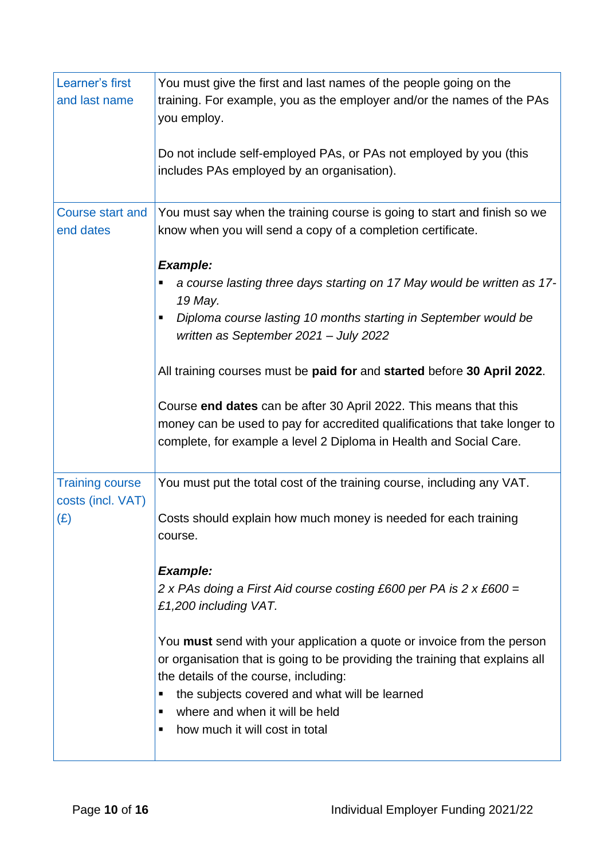| Learner's first<br>and last name            | You must give the first and last names of the people going on the<br>training. For example, you as the employer and/or the names of the PAs<br>you employ.                                                                                                                                                                          |
|---------------------------------------------|-------------------------------------------------------------------------------------------------------------------------------------------------------------------------------------------------------------------------------------------------------------------------------------------------------------------------------------|
|                                             | Do not include self-employed PAs, or PAs not employed by you (this<br>includes PAs employed by an organisation).                                                                                                                                                                                                                    |
| <b>Course start and</b><br>end dates        | You must say when the training course is going to start and finish so we<br>know when you will send a copy of a completion certificate.                                                                                                                                                                                             |
|                                             | <b>Example:</b>                                                                                                                                                                                                                                                                                                                     |
|                                             | a course lasting three days starting on 17 May would be written as 17-<br>19 May.                                                                                                                                                                                                                                                   |
|                                             | Diploma course lasting 10 months starting in September would be<br>٠<br>written as September 2021 - July 2022                                                                                                                                                                                                                       |
|                                             | All training courses must be paid for and started before 30 April 2022.                                                                                                                                                                                                                                                             |
|                                             | Course end dates can be after 30 April 2022. This means that this<br>money can be used to pay for accredited qualifications that take longer to<br>complete, for example a level 2 Diploma in Health and Social Care.                                                                                                               |
| <b>Training course</b><br>costs (incl. VAT) | You must put the total cost of the training course, including any VAT.                                                                                                                                                                                                                                                              |
| (E)                                         | Costs should explain how much money is needed for each training<br>course.                                                                                                                                                                                                                                                          |
|                                             | <b>Example:</b>                                                                                                                                                                                                                                                                                                                     |
|                                             | 2 x PAs doing a First Aid course costing £600 per PA is 2 x £600 =                                                                                                                                                                                                                                                                  |
|                                             | £1,200 including VAT.                                                                                                                                                                                                                                                                                                               |
|                                             | You must send with your application a quote or invoice from the person<br>or organisation that is going to be providing the training that explains all<br>the details of the course, including:<br>the subjects covered and what will be learned<br>п<br>where and when it will be held<br>٠<br>how much it will cost in total<br>٠ |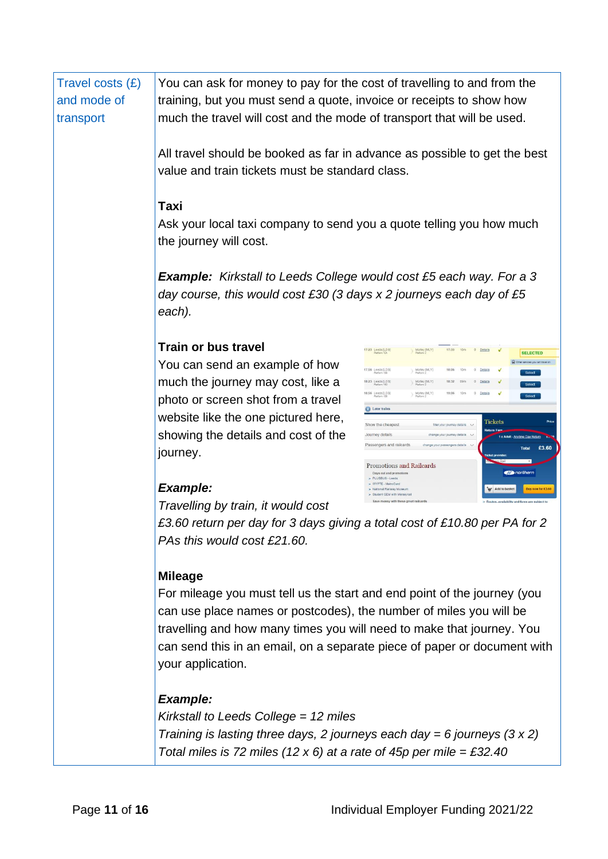| Travel costs $(E)$ | You can ask for money to pay for the cost of travelling to and from the                                                                                     |                                                                                                                  |  |
|--------------------|-------------------------------------------------------------------------------------------------------------------------------------------------------------|------------------------------------------------------------------------------------------------------------------|--|
| and mode of        | training, but you must send a quote, invoice or receipts to show how                                                                                        |                                                                                                                  |  |
| transport          | much the travel will cost and the mode of transport that will be used.                                                                                      |                                                                                                                  |  |
|                    | All travel should be booked as far in advance as possible to get the best                                                                                   |                                                                                                                  |  |
|                    | value and train tickets must be standard class.                                                                                                             |                                                                                                                  |  |
|                    |                                                                                                                                                             |                                                                                                                  |  |
|                    | Taxi                                                                                                                                                        |                                                                                                                  |  |
|                    | Ask your local taxi company to send you a quote telling you how much<br>the journey will cost.                                                              |                                                                                                                  |  |
|                    | <b>Example:</b> Kirkstall to Leeds College would cost £5 each way. For a 3<br>day course, this would cost £30 (3 days x 2 journeys each day of £5<br>each). |                                                                                                                  |  |
|                    |                                                                                                                                                             |                                                                                                                  |  |
|                    | <b>Train or bus travel</b>                                                                                                                                  | 17:23 Leeds [LDS]<br>17:33<br>0 Details<br>Morley [MLY]<br>10m<br><b>SELECTED</b>                                |  |
|                    | You can send an example of how                                                                                                                              | r services you can travel o<br>17:56 Leeds [LDS]<br>Morley [MLY]<br>18:06<br>$\circ$<br>Details<br><b>Select</b> |  |
|                    | much the journey may cost, like a                                                                                                                           | 18:23 Leeds [LDS]<br>Morley [MLY]<br>18:32<br>0 Details<br>Select<br>Details                                     |  |
|                    | photo or screen shot from a travel                                                                                                                          | 18:56 Leeds [LDS]<br>Morley [MLY]<br>Later trains                                                                |  |
|                    | website like the one pictured here,                                                                                                                         | Tickets<br>Show the cheapest<br>filter your journey details ~                                                    |  |
|                    | showing the details and cost of the                                                                                                                         | Journey details<br>1 x Adult - Anytime Day Return<br>assengers and railcards<br>change your passengers details   |  |
|                    | journey.                                                                                                                                                    | £3.60<br><b>Total</b>                                                                                            |  |
|                    |                                                                                                                                                             | Promotions and Railcards<br><b>Conorthern</b><br>PLUSBUS - Leeds                                                 |  |
|                    | <b>Example:</b>                                                                                                                                             | Add to basket                                                                                                    |  |
|                    | Travelling by train, it would cost                                                                                                                          | Routes: availability and fares are subject to                                                                    |  |
|                    | £3.60 return per day for 3 days giving a total cost of £10.80 per PA for 2                                                                                  |                                                                                                                  |  |
|                    | PAs this would cost £21.60.                                                                                                                                 |                                                                                                                  |  |
|                    | <b>Mileage</b>                                                                                                                                              |                                                                                                                  |  |
|                    | For mileage you must tell us the start and end point of the journey (you                                                                                    |                                                                                                                  |  |
|                    | can use place names or postcodes), the number of miles you will be                                                                                          |                                                                                                                  |  |
|                    | travelling and how many times you will need to make that journey. You                                                                                       |                                                                                                                  |  |
|                    | can send this in an email, on a separate piece of paper or document with                                                                                    |                                                                                                                  |  |
|                    | your application.                                                                                                                                           |                                                                                                                  |  |
|                    | <b>Example:</b>                                                                                                                                             |                                                                                                                  |  |
|                    | Kirkstall to Leeds College = $12$ miles                                                                                                                     |                                                                                                                  |  |
|                    | Training is lasting three days, 2 journeys each day = 6 journeys $(3 \times 2)$                                                                             |                                                                                                                  |  |
|                    | Total miles is 72 miles (12 x 6) at a rate of 45p per mile = £32.40                                                                                         |                                                                                                                  |  |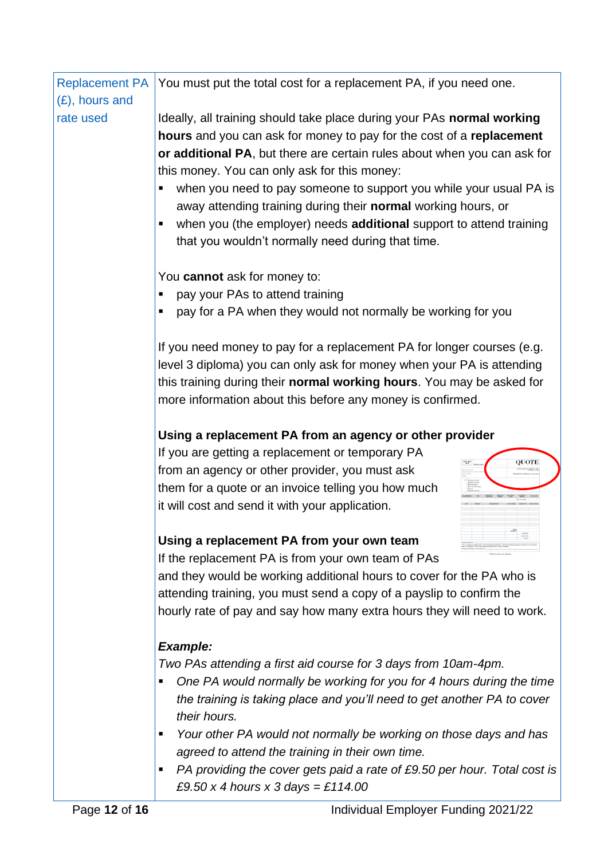| <b>Replacement PA</b> | You must put the total cost for a replacement PA, if you need one.                                                                                                                                                                                                                                                                                                                                                                                                                                                                                      |
|-----------------------|---------------------------------------------------------------------------------------------------------------------------------------------------------------------------------------------------------------------------------------------------------------------------------------------------------------------------------------------------------------------------------------------------------------------------------------------------------------------------------------------------------------------------------------------------------|
| (£), hours and        |                                                                                                                                                                                                                                                                                                                                                                                                                                                                                                                                                         |
| rate used             | Ideally, all training should take place during your PAs normal working<br>hours and you can ask for money to pay for the cost of a replacement<br>or additional PA, but there are certain rules about when you can ask for<br>this money. You can only ask for this money:<br>when you need to pay someone to support you while your usual PA is<br>п<br>away attending training during their normal working hours, or<br>when you (the employer) needs additional support to attend training<br>٠<br>that you wouldn't normally need during that time. |
|                       | You cannot ask for money to:                                                                                                                                                                                                                                                                                                                                                                                                                                                                                                                            |
|                       | pay your PAs to attend training<br>п                                                                                                                                                                                                                                                                                                                                                                                                                                                                                                                    |
|                       | pay for a PA when they would not normally be working for you<br>п                                                                                                                                                                                                                                                                                                                                                                                                                                                                                       |
|                       | If you need money to pay for a replacement PA for longer courses (e.g.<br>level 3 diploma) you can only ask for money when your PA is attending<br>this training during their normal working hours. You may be asked for<br>more information about this before any money is confirmed.                                                                                                                                                                                                                                                                  |
|                       | Using a replacement PA from an agency or other provider                                                                                                                                                                                                                                                                                                                                                                                                                                                                                                 |
|                       | If you are getting a replacement or temporary PA                                                                                                                                                                                                                                                                                                                                                                                                                                                                                                        |
|                       | QUOTE<br>from an agency or other provider, you must ask                                                                                                                                                                                                                                                                                                                                                                                                                                                                                                 |
|                       | them for a quote or an invoice telling you how much<br>it will cost and send it with your application.                                                                                                                                                                                                                                                                                                                                                                                                                                                  |
|                       | Using a replacement PA from your own team                                                                                                                                                                                                                                                                                                                                                                                                                                                                                                               |
|                       | If the replacement PA is from your own team of PAs                                                                                                                                                                                                                                                                                                                                                                                                                                                                                                      |
|                       | and they would be working additional hours to cover for the PA who is<br>attending training, you must send a copy of a payslip to confirm the                                                                                                                                                                                                                                                                                                                                                                                                           |
|                       | hourly rate of pay and say how many extra hours they will need to work.                                                                                                                                                                                                                                                                                                                                                                                                                                                                                 |
|                       | <b>Example:</b>                                                                                                                                                                                                                                                                                                                                                                                                                                                                                                                                         |
|                       | Two PAs attending a first aid course for 3 days from 10am-4pm.                                                                                                                                                                                                                                                                                                                                                                                                                                                                                          |
|                       | One PA would normally be working for you for 4 hours during the time<br>٠<br>the training is taking place and you'll need to get another PA to cover<br>their hours.                                                                                                                                                                                                                                                                                                                                                                                    |
|                       | Your other PA would not normally be working on those days and has<br>п<br>agreed to attend the training in their own time.                                                                                                                                                                                                                                                                                                                                                                                                                              |
|                       | PA providing the cover gets paid a rate of £9.50 per hour. Total cost is<br>٠<br>£9.50 x 4 hours x 3 days = £114.00                                                                                                                                                                                                                                                                                                                                                                                                                                     |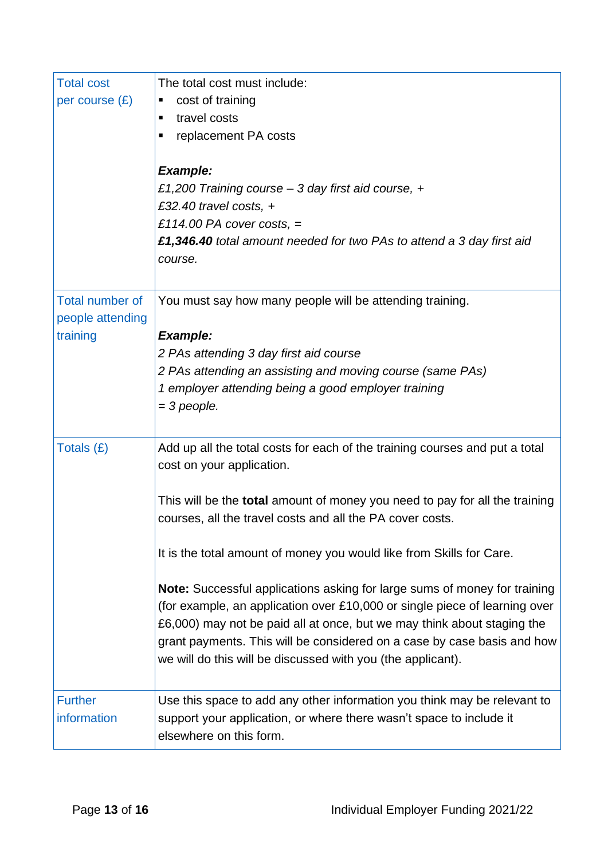| <b>Total cost</b><br>per course $(E)$                  | The total cost must include:<br>cost of training<br>п<br>travel costs<br>٠<br>replacement PA costs<br>$\blacksquare$<br><b>Example:</b><br>£1,200 Training course - 3 day first aid course, +<br>£32.40 travel costs, $+$<br>£114.00 PA cover costs, $=$<br>£1,346.40 total amount needed for two PAs to attend a 3 day first aid<br>course.                                                                                                                                                                                                                                                                                                                                                                        |
|--------------------------------------------------------|---------------------------------------------------------------------------------------------------------------------------------------------------------------------------------------------------------------------------------------------------------------------------------------------------------------------------------------------------------------------------------------------------------------------------------------------------------------------------------------------------------------------------------------------------------------------------------------------------------------------------------------------------------------------------------------------------------------------|
| <b>Total number of</b><br>people attending<br>training | You must say how many people will be attending training.<br><b>Example:</b><br>2 PAs attending 3 day first aid course<br>2 PAs attending an assisting and moving course (same PAs)<br>1 employer attending being a good employer training<br>$=$ 3 people.                                                                                                                                                                                                                                                                                                                                                                                                                                                          |
| Totals (£)                                             | Add up all the total costs for each of the training courses and put a total<br>cost on your application.<br>This will be the <b>total</b> amount of money you need to pay for all the training<br>courses, all the travel costs and all the PA cover costs.<br>It is the total amount of money you would like from Skills for Care.<br>Note: Successful applications asking for large sums of money for training<br>(for example, an application over £10,000 or single piece of learning over<br>£6,000) may not be paid all at once, but we may think about staging the<br>grant payments. This will be considered on a case by case basis and how<br>we will do this will be discussed with you (the applicant). |
| <b>Further</b><br>information                          | Use this space to add any other information you think may be relevant to<br>support your application, or where there wasn't space to include it<br>elsewhere on this form.                                                                                                                                                                                                                                                                                                                                                                                                                                                                                                                                          |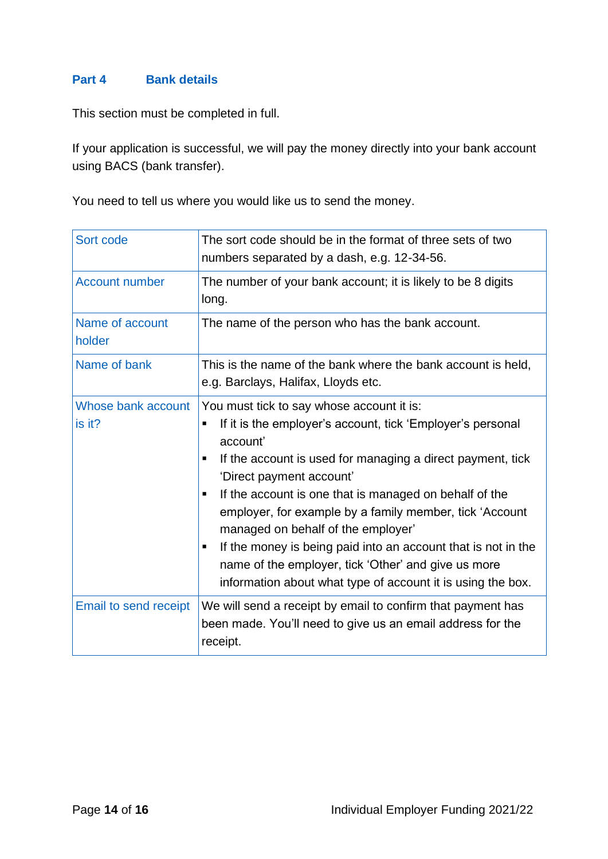# **Part 4 Bank details**

This section must be completed in full.

If your application is successful, we will pay the money directly into your bank account using BACS (bank transfer).

You need to tell us where you would like us to send the money.

| Sort code                    | The sort code should be in the format of three sets of two<br>numbers separated by a dash, e.g. 12-34-56.                                                                                                                                                                                                                                                                                                                                                                                                                                                                      |  |
|------------------------------|--------------------------------------------------------------------------------------------------------------------------------------------------------------------------------------------------------------------------------------------------------------------------------------------------------------------------------------------------------------------------------------------------------------------------------------------------------------------------------------------------------------------------------------------------------------------------------|--|
| <b>Account number</b>        | The number of your bank account; it is likely to be 8 digits<br>long.                                                                                                                                                                                                                                                                                                                                                                                                                                                                                                          |  |
| Name of account<br>holder    | The name of the person who has the bank account.                                                                                                                                                                                                                                                                                                                                                                                                                                                                                                                               |  |
| Name of bank                 | This is the name of the bank where the bank account is held,<br>e.g. Barclays, Halifax, Lloyds etc.                                                                                                                                                                                                                                                                                                                                                                                                                                                                            |  |
| Whose bank account<br>is it? | You must tick to say whose account it is:<br>If it is the employer's account, tick 'Employer's personal<br>account'<br>If the account is used for managing a direct payment, tick<br>٠<br>'Direct payment account'<br>If the account is one that is managed on behalf of the<br>٠<br>employer, for example by a family member, tick 'Account<br>managed on behalf of the employer'<br>If the money is being paid into an account that is not in the<br>٠<br>name of the employer, tick 'Other' and give us more<br>information about what type of account it is using the box. |  |
| Email to send receipt        | We will send a receipt by email to confirm that payment has<br>been made. You'll need to give us an email address for the<br>receipt.                                                                                                                                                                                                                                                                                                                                                                                                                                          |  |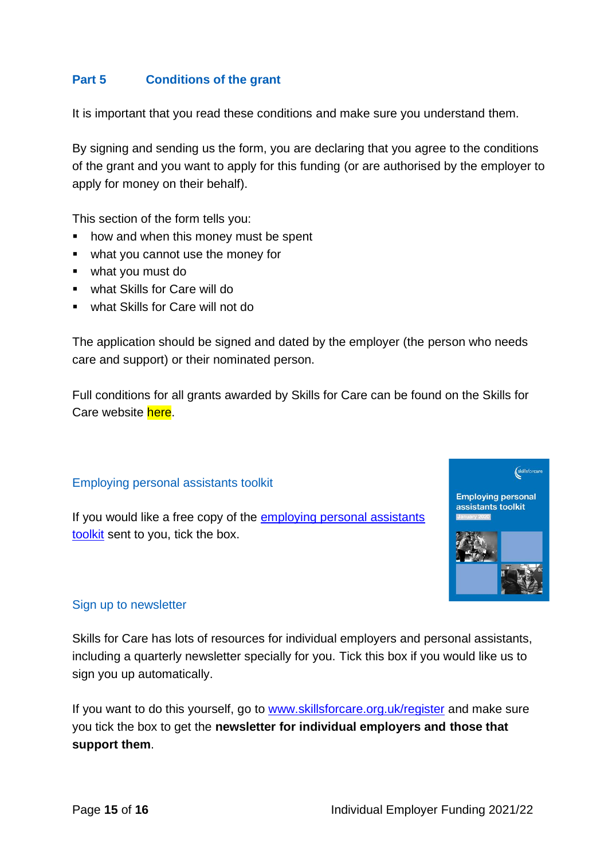# **Part 5 Conditions of the grant**

It is important that you read these conditions and make sure you understand them.

By signing and sending us the form, you are declaring that you agree to the conditions of the grant and you want to apply for this funding (or are authorised by the employer to apply for money on their behalf).

This section of the form tells you:

- how and when this money must be spent
- what you cannot use the money for
- what you must do
- what Skills for Care will do
- what Skills for Care will not do

The application should be signed and dated by the employer (the person who needs care and support) or their nominated person.

Full conditions for all grants awarded by Skills for Care can be found on the Skills for Care website here.

#### Employing personal assistants toolkit

If you would like a free copy of the [employing personal assistants](http://www.employingpersonalassistants.co.uk/)  [toolkit](http://www.employingpersonalassistants.co.uk/) sent to you, tick the box.



#### Sign up to newsletter

Skills for Care has lots of resources for individual employers and personal assistants, including a quarterly newsletter specially for you. Tick this box if you would like us to sign you up automatically.

If you want to do this yourself, go to [www.skillsforcare.org.uk/register](http://www.skillsforcare.org.uk/register) and make sure you tick the box to get the **newsletter for individual employers and those that support them**.